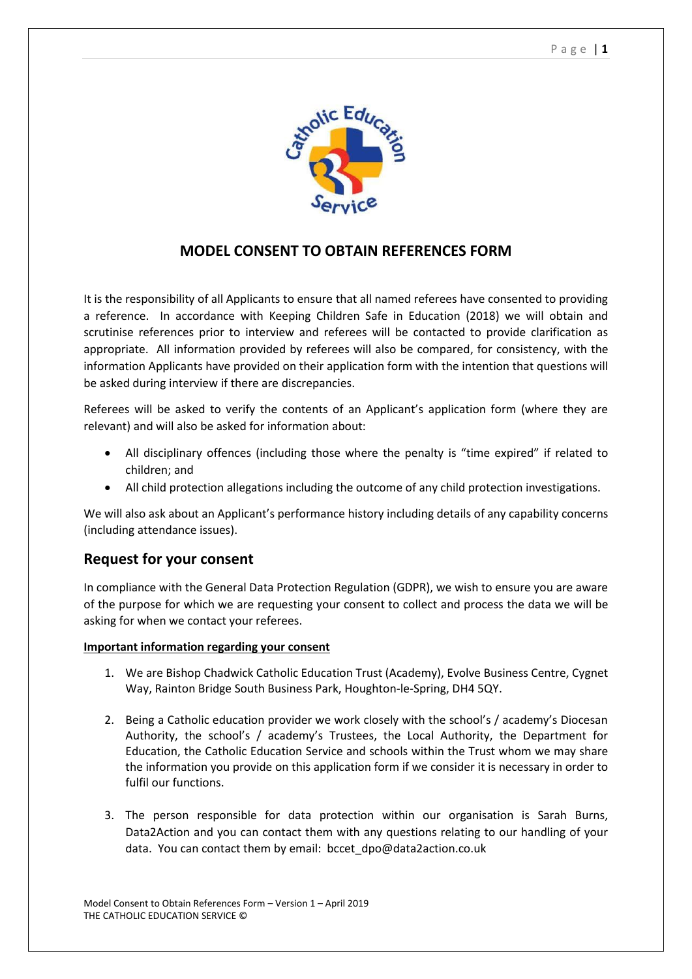

## **MODEL CONSENT TO OBTAIN REFERENCES FORM**

It is the responsibility of all Applicants to ensure that all named referees have consented to providing a reference. In accordance with Keeping Children Safe in Education (2018) we will obtain and scrutinise references prior to interview and referees will be contacted to provide clarification as appropriate. All information provided by referees will also be compared, for consistency, with the information Applicants have provided on their application form with the intention that questions will be asked during interview if there are discrepancies.

Referees will be asked to verify the contents of an Applicant's application form (where they are relevant) and will also be asked for information about:

- All disciplinary offences (including those where the penalty is "time expired" if related to children; and
- All child protection allegations including the outcome of any child protection investigations.

We will also ask about an Applicant's performance history including details of any capability concerns (including attendance issues).

## **Request for your consent**

In compliance with the General Data Protection Regulation (GDPR), we wish to ensure you are aware of the purpose for which we are requesting your consent to collect and process the data we will be asking for when we contact your referees.

## **Important information regarding your consent**

- 1. We are Bishop Chadwick Catholic Education Trust (Academy), Evolve Business Centre, Cygnet Way, Rainton Bridge South Business Park, Houghton-le-Spring, DH4 5QY.
- 2. Being a Catholic education provider we work closely with the school's / academy's Diocesan Authority, the school's / academy's Trustees, the Local Authority, the Department for Education, the Catholic Education Service and schools within the Trust whom we may share the information you provide on this application form if we consider it is necessary in order to fulfil our functions.
- 3. The person responsible for data protection within our organisation is Sarah Burns, Data2Action and you can contact them with any questions relating to our handling of your data. You can contact them by email: bccet dpo@data2action.co.uk